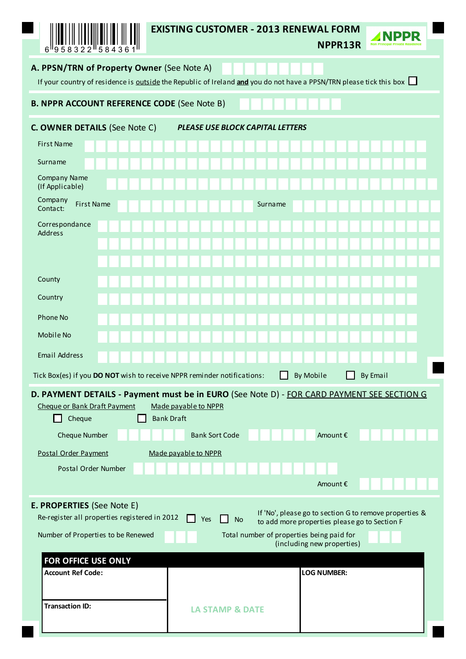| 958322<br>6<br>584361                                                                                                                                             | <b>EXISTING CUSTOMER - 2013 RENEWAL FORM</b>                                                                       | NPPR13R                                                                                                 | NPPR<br><b>Non Principal Private R</b> |  |  |  |  |  |  |
|-------------------------------------------------------------------------------------------------------------------------------------------------------------------|--------------------------------------------------------------------------------------------------------------------|---------------------------------------------------------------------------------------------------------|----------------------------------------|--|--|--|--|--|--|
| A. PPSN/TRN of Property Owner (See Note A)<br>If your country of residence is outside the Republic of Ireland and you do not have a PPSN/TRN please tick this box |                                                                                                                    |                                                                                                         |                                        |  |  |  |  |  |  |
| <b>B. NPPR ACCOUNT REFERENCE CODE (See Note B)</b>                                                                                                                |                                                                                                                    |                                                                                                         |                                        |  |  |  |  |  |  |
| C. OWNER DETAILS (See Note C)<br>PLEASE USE BLOCK CAPITAL LETTERS                                                                                                 |                                                                                                                    |                                                                                                         |                                        |  |  |  |  |  |  |
| <b>First Name</b>                                                                                                                                                 |                                                                                                                    |                                                                                                         |                                        |  |  |  |  |  |  |
| Surname                                                                                                                                                           |                                                                                                                    |                                                                                                         |                                        |  |  |  |  |  |  |
| <b>Company Name</b><br>(If Applicable)                                                                                                                            |                                                                                                                    |                                                                                                         |                                        |  |  |  |  |  |  |
| Company<br>First Name<br>Contact:                                                                                                                                 | Surname                                                                                                            |                                                                                                         |                                        |  |  |  |  |  |  |
| Correspondance                                                                                                                                                    |                                                                                                                    |                                                                                                         |                                        |  |  |  |  |  |  |
| <b>Address</b>                                                                                                                                                    |                                                                                                                    |                                                                                                         |                                        |  |  |  |  |  |  |
|                                                                                                                                                                   |                                                                                                                    |                                                                                                         |                                        |  |  |  |  |  |  |
| County                                                                                                                                                            |                                                                                                                    |                                                                                                         |                                        |  |  |  |  |  |  |
| Country                                                                                                                                                           |                                                                                                                    |                                                                                                         |                                        |  |  |  |  |  |  |
| <b>Phone No</b>                                                                                                                                                   |                                                                                                                    |                                                                                                         |                                        |  |  |  |  |  |  |
| Mobile No                                                                                                                                                         |                                                                                                                    |                                                                                                         |                                        |  |  |  |  |  |  |
| Email Address                                                                                                                                                     |                                                                                                                    |                                                                                                         |                                        |  |  |  |  |  |  |
| Tick Box(es) if you DO NOT wish to receive NPPR reminder notifications:                                                                                           |                                                                                                                    | By Mobile                                                                                               | <b>By Email</b>                        |  |  |  |  |  |  |
| Cheque or Bank Draft Payment                                                                                                                                      | D. PAYMENT DETAILS - Payment must be in EURO (See Note D) - FOR CARD PAYMENT SEE SECTION G<br>Made payable to NPPR |                                                                                                         |                                        |  |  |  |  |  |  |
| Cheque                                                                                                                                                            | <b>Bank Draft</b>                                                                                                  |                                                                                                         |                                        |  |  |  |  |  |  |
| <b>Cheque Number</b>                                                                                                                                              | <b>Bank Sort Code</b>                                                                                              | Amount €                                                                                                |                                        |  |  |  |  |  |  |
| Postal Order Payment<br>Postal Order Number                                                                                                                       | Made payable to NPPR                                                                                               |                                                                                                         |                                        |  |  |  |  |  |  |
|                                                                                                                                                                   |                                                                                                                    | Amount€                                                                                                 |                                        |  |  |  |  |  |  |
| E. PROPERTIES (See Note E)                                                                                                                                        |                                                                                                                    |                                                                                                         |                                        |  |  |  |  |  |  |
| Re-register all properties registered in 2012                                                                                                                     | Yes<br><b>No</b>                                                                                                   | If 'No', please go to section G to remove properties &<br>to add more properties please go to Section F |                                        |  |  |  |  |  |  |
| Number of Properties to be Renewed<br>Total number of properties being paid for<br>(including new properties)                                                     |                                                                                                                    |                                                                                                         |                                        |  |  |  |  |  |  |
| FOR OFFICE USE ONLY<br><b>Account Ref Code:</b>                                                                                                                   |                                                                                                                    | <b>LOG NUMBER:</b>                                                                                      |                                        |  |  |  |  |  |  |
|                                                                                                                                                                   |                                                                                                                    |                                                                                                         |                                        |  |  |  |  |  |  |
| <b>Transaction ID:</b>                                                                                                                                            | <b>LA STAMP &amp; DATE</b>                                                                                         |                                                                                                         |                                        |  |  |  |  |  |  |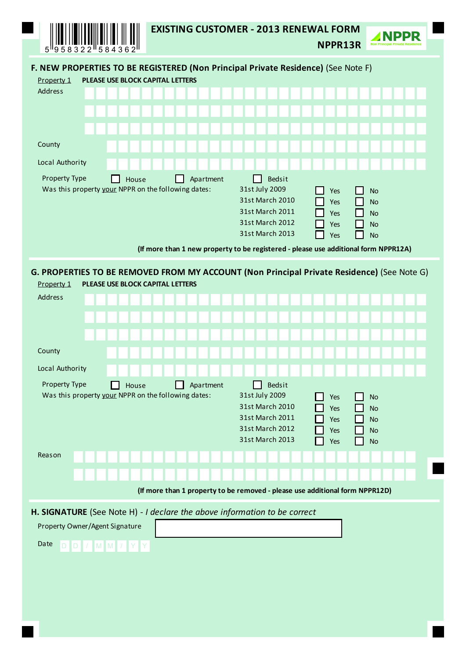| 584362<br><sup>1</sup> 958322<br>5.                                                                                                          | <b>EXISTING CUSTOMER - 2013 RENEWAL FORM</b>                                                                             | NPPR13R                         |                                                               |  |  |  |  |  |  |
|----------------------------------------------------------------------------------------------------------------------------------------------|--------------------------------------------------------------------------------------------------------------------------|---------------------------------|---------------------------------------------------------------|--|--|--|--|--|--|
| F. NEW PROPERTIES TO BE REGISTERED (Non Principal Private Residence) (See Note F)                                                            |                                                                                                                          |                                 |                                                               |  |  |  |  |  |  |
| PLEASE USE BLOCK CAPITAL LETTERS<br>Property 1                                                                                               |                                                                                                                          |                                 |                                                               |  |  |  |  |  |  |
| <b>Address</b>                                                                                                                               |                                                                                                                          |                                 |                                                               |  |  |  |  |  |  |
|                                                                                                                                              |                                                                                                                          |                                 |                                                               |  |  |  |  |  |  |
|                                                                                                                                              |                                                                                                                          |                                 |                                                               |  |  |  |  |  |  |
| County                                                                                                                                       |                                                                                                                          |                                 |                                                               |  |  |  |  |  |  |
| Local Authority                                                                                                                              |                                                                                                                          |                                 |                                                               |  |  |  |  |  |  |
| Property Type<br>House<br>Was this property your NPPR on the following dates:                                                                | <b>Bedsit</b><br>Apartment<br>31st July 2009<br>31st March 2010<br>31st March 2011<br>31st March 2012<br>31st March 2013 | Yes<br>Yes<br>Yes<br>Yes<br>Yes | <b>No</b><br><b>No</b><br><b>No</b><br><b>No</b><br><b>No</b> |  |  |  |  |  |  |
|                                                                                                                                              | (If more than 1 new property to be registered - please use additional form NPPR12A)                                      |                                 |                                                               |  |  |  |  |  |  |
| G. PROPERTIES TO BE REMOVED FROM MY ACCOUNT (Non Principal Private Residence) (See Note G)<br>PLEASE USE BLOCK CAPITAL LETTERS<br>Property 1 |                                                                                                                          |                                 |                                                               |  |  |  |  |  |  |
| <b>Address</b>                                                                                                                               |                                                                                                                          |                                 |                                                               |  |  |  |  |  |  |
|                                                                                                                                              |                                                                                                                          |                                 |                                                               |  |  |  |  |  |  |
|                                                                                                                                              |                                                                                                                          |                                 |                                                               |  |  |  |  |  |  |
| County                                                                                                                                       |                                                                                                                          |                                 |                                                               |  |  |  |  |  |  |
| Local Authority                                                                                                                              |                                                                                                                          |                                 |                                                               |  |  |  |  |  |  |
| Property Type<br>House<br>Was this property your NPPR on the following dates:                                                                | Bedsit<br>Apartment<br>31st July 2009<br>31st March 2010<br>31st March 2011<br>31st March 2012<br>31st March 2013        | Yes<br>Yes<br>Yes<br>Yes<br>Yes | <b>No</b><br><b>No</b><br><b>No</b><br><b>No</b><br><b>No</b> |  |  |  |  |  |  |
| Reason                                                                                                                                       |                                                                                                                          |                                 |                                                               |  |  |  |  |  |  |
|                                                                                                                                              |                                                                                                                          |                                 |                                                               |  |  |  |  |  |  |
|                                                                                                                                              | (If more than 1 property to be removed - please use additional form NPPR12D)                                             |                                 |                                                               |  |  |  |  |  |  |
| Property Owner/Agent Signature<br>Date<br>D D / M M / Y Y                                                                                    | H. SIGNATURE (See Note H) - I declare the above information to be correct                                                |                                 |                                                               |  |  |  |  |  |  |
|                                                                                                                                              |                                                                                                                          |                                 |                                                               |  |  |  |  |  |  |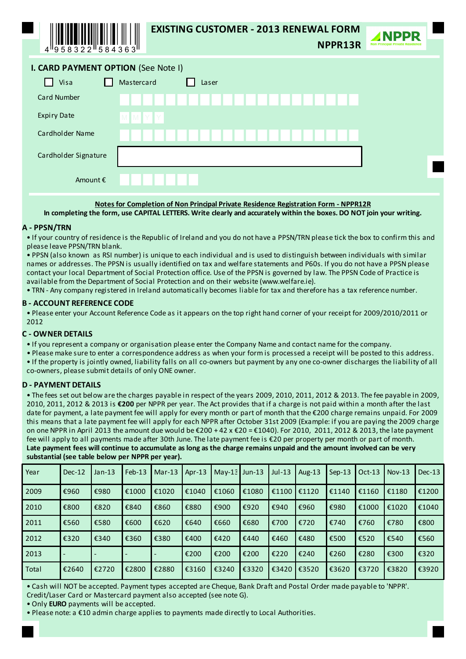

# **EXISTING CUSTOMER - 2013 RENEWAL FORM**

NPPR13R



| I. CARD PAYMENT OPTION (See Note I) |  |  |
|-------------------------------------|--|--|
|                                     |  |  |

| Mastercard<br>Visa<br>Laser<br>- 1 |
|------------------------------------|
| <b>Card Number</b>                 |
| <b>Expiry Date</b><br>MMYY         |
| Cardholder Name                    |
| Cardholder Signature               |
| Amount €                           |

Notes for Completion of Non Principal Private Residence Registration Form - NPPR12R

In completing the form, use CAPITAL LETTERS. Write clearly and accurately within the boxes. DO NOT join your writing.

#### A - PPSN/TRN

• If your country of residence is the Republic of Ireland and you do not have a PPSN/TRN please tick the box to confirm this and please leave PPSN/TRN blank.

. PPSN (also known as RSI number) is unique to each individual and is used to distinguish between individuals with similar names or addresses. The PPSN is usually identified on tax and welfare statements and P60s. If you do not have a PPSN please contact your local Department of Social Protection office. Use of the PPSN is governed by law. The PPSN Code of Practice is available from the Department of Social Protection and on their website (www.welfare.ie).

. TRN - Any company registered in Ireland automatically becomes liable for tax and therefore has a tax reference number.

### **B - ACCOUNT REFERENCE CODE**

. Please enter your Account Reference Code as it appears on the top right hand corner of your receipt for 2009/2010/2011 or 2012

#### **C - OWNER DETAILS**

• If you represent a company or organisation please enter the Company Name and contact name for the company.

. Please make sure to enter a correspondence address as when your form is processed a receipt will be posted to this address. • If the property is jointly owned, liability falls on all co-owners but payment by any one co-owner discharges the liability of all co-owners, please submit details of only ONE owner.

# **D - PAYMENT DETAILS**

• The fees set out below are the charges payable in respect of the years 2009, 2010, 2011, 2012 & 2013. The fee payable in 2009, 2010, 2011, 2012 & 2013 is €200 per NPPR per year. The Act provides that if a charge is not paid within a month after the last date for payment, a late payment fee will apply for every month or part of month that the €200 charge remains unpaid. For 2009 this means that a late payment fee will apply for each NPPR after October 31st 2009 (Example: if you are paying the 2009 charge on one NPPR in April 2013 the amount due would be €200 + 42 x €20 = €1040). For 2010, 2011, 2012 & 2013, the late payment fee will apply to all payments made after 30th June. The late payment fee is €20 per property per month or part of month. Late payment fees will continue to accumulate as long as the charge remains unpaid and the amount involved can be very substantial (see table below per NPPR per year).

| Year  | $Dec-12$ | Jan-13 | $Feb-13$ | $Mar-13$ | Apr $-13$ | $May-13$ Jun-13 |       | $Jul-13$ | Aug- $13$ | $Sep-13$ | $Oct-13$ | $Nov-13$ | $Dec-13$ |
|-------|----------|--------|----------|----------|-----------|-----------------|-------|----------|-----------|----------|----------|----------|----------|
| 2009  | €960     | €980   | €1000    | €1020    | €1040     | €1060           | €1080 | €1100    | €1120     | €1140    | €1160    | €1180    | €1200    |
| 2010  | €800     | €820   | €840     | €860     | €880      | €900            | €920  | €940     | €960      | €980     | €1000    | €1020    | €1040    |
| 2011  | €560     | €580   | €600     | €620     | €640      | €660            | €680  | €700     | €720      | €740     | €760     | €780     | €800     |
| 2012  | €320     | €340   | €360     | €380     | €400      | €420            | €440  | €460     | €480      | €500     | €520     | €540     | €560     |
| 2013  |          |        |          |          | €200      | €200            | €200  | €220     | €240      | €260     | €280     | €300     | €320     |
| Total | €2640    | €2720  | €2800    | €2880    | €3160     | €3240           | €3320 | €3420    | €3520     | €3620    | €3720    | €3820    | €3920    |

. Cash will NOT be accepted. Payment types accepted are Cheque, Bank Draft and Postal Order made payable to 'NPPR'. Credit/Laser Card or Mastercard payment also accepted (see note G).

. Only EURO payments will be accepted.

. Please note: a €10 admin charge applies to payments made directly to Local Authorities.